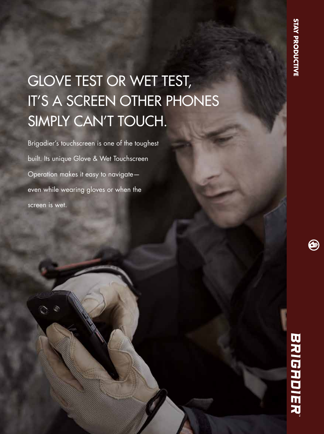# GLOVE TEST OR WET TEST, IT'S A SCREEN OTHER PHONES SIMPLY CAN'T TOUCH.

Brigadier's touchscreen is one of the toughest built. Its unique Glove & Wet Touchscreen Operation makes it easy to navigate even while wearing gloves or when the screen is wet.

# BRIGADIER

⊜